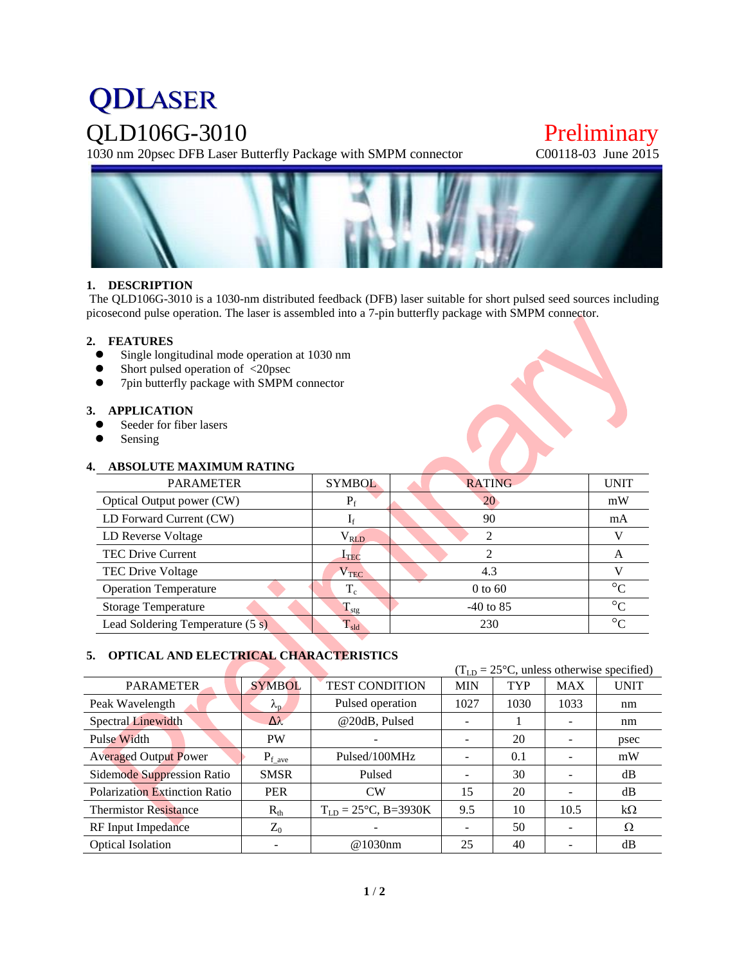# **QDLASER**

QLD106G-3010 Preliminary<br>1030 nm 20psec DFB Laser Butterfly Package with SMPM connector C00118-03 June 2015 1030 nm 20psec DFB Laser Butterfly Package with SMPM connector



# **1. DESCRIPTION**

The QLD106G-3010 is a 1030-nm distributed feedback (DFB) laser suitable for short pulsed seed sources including picosecond pulse operation. The laser is assembled into a 7-pin butterfly package with SMPM connector.

## **2. FEATURES**

- Single longitudinal mode operation at 1030 nm
- Short pulsed operation of <20psec<br>• 7nin butterfly package with SMPM
- 7pin butterfly package with SMPM connector

### **3. APPLICATION**

- Seeder for fiber lasers
- Sensing

# **4. ABSOLUTE MAXIMUM RATING**

| <b>PARAMETER</b>                 | <b>SYMBOL</b>          | <b>RATING</b>  | <b>UNIT</b>     |
|----------------------------------|------------------------|----------------|-----------------|
| Optical Output power (CW)        | $P_f$                  | 20             | mW              |
| LD Forward Current (CW)          | 1 <sub>f</sub>         | 90             | mA              |
| LD Reverse Voltage               | $\rm V_{\rm RLD}$      | $\mathfrak{D}$ |                 |
| <b>TEC Drive Current</b>         | $\mathbf{I}_{\rm TEC}$ | ∍              | A               |
| <b>TEC Drive Voltage</b>         | $\rm V_{TEC}$          | 4.3            |                 |
| <b>Operation Temperature</b>     | $T_c$                  | $0$ to 60      | $\circ$         |
| <b>Storage Temperature</b>       | $T_{\text{stg}}$       | $-40$ to 85    | $\rm ^{\circ}C$ |
| Lead Soldering Temperature (5 s) | $T_{\rm sld}$          | 230            | $\circ$         |

# **5. OPTICAL AND ELECTRICAL CHARACTERISTICS**

|                                      |                   | $(TLD = 25oC, unless otherwise specified)$ |            |            |            |             |
|--------------------------------------|-------------------|--------------------------------------------|------------|------------|------------|-------------|
| <b>PARAMETER</b>                     | <b>SYMBOL</b>     | <b>TEST CONDITION</b>                      | <b>MIN</b> | <b>TYP</b> | <b>MAX</b> | <b>UNIT</b> |
| Peak Wavelength                      | $\lambda_{\rm n}$ | Pulsed operation                           | 1027       | 1030       | 1033       | nm          |
| <b>Spectral Linewidth</b>            | $\Delta\lambda$   | @20dB, Pulsed                              |            |            |            | nm          |
| Pulse Width                          | <b>PW</b>         |                                            |            | 20         |            | psec        |
| <b>Averaged Output Power</b>         | $P_{f\_{ave}}$    | Pulsed/100MHz                              |            | 0.1        |            | mW          |
| Sidemode Suppression Ratio           | <b>SMSR</b>       | Pulsed                                     |            | 30         |            | dB          |
| <b>Polarization Extinction Ratio</b> | <b>PER</b>        | CW                                         | 15         | 20         |            | dB          |
| <b>Thermistor Resistance</b>         | $R_{th}$          | $T_{LD} = 25^{\circ}C$ , B=3930K           | 9.5        | 10         | 10.5       | $k\Omega$   |
| RF Input Impedance                   | $Z_0$             |                                            |            | 50         |            | Ω           |
| <b>Optical Isolation</b>             |                   | @1030nm                                    | 25         | 40         |            | dB          |